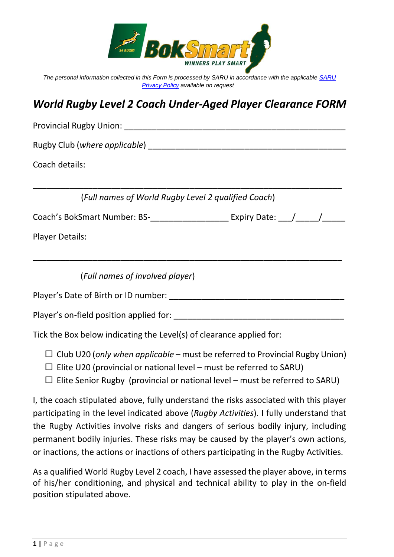

*The personal information collected in this Form is processed by SARU in accordance with the applicable [SARU](https://www.springboks.rugby/general/privacy-policy-updated-2021/)  [Privacy Policy](https://www.springboks.rugby/general/privacy-policy-updated-2021/) available on request*

## *World Rugby Level 2 Coach Under-Aged Player Clearance FORM*

| <b>Provincial Rugby Union:</b>                      |  |
|-----------------------------------------------------|--|
|                                                     |  |
| Coach details:                                      |  |
| (Full names of World Rugby Level 2 qualified Coach) |  |
| Coach's BokSmart Number: BS-<br>Expiry Date: / / /  |  |
| <b>Player Details:</b>                              |  |
| (Full names of involved player)                     |  |
| Player's Date of Birth or ID number:                |  |
| Player's on-field position applied for:             |  |

Tick the Box below indicating the Level(s) of clearance applied for:

- Club U20 (*only when applicable* must be referred to Provincial Rugby Union)
- $\Box$  Elite U20 (provincial or national level must be referred to SARU)
- $\Box$  Elite Senior Rugby (provincial or national level must be referred to SARU)

I, the coach stipulated above, fully understand the risks associated with this player participating in the level indicated above (*Rugby Activities*). I fully understand that the Rugby Activities involve risks and dangers of serious bodily injury, including permanent bodily injuries. These risks may be caused by the player's own actions, or inactions, the actions or inactions of others participating in the Rugby Activities.

As a qualified World Rugby Level 2 coach, I have assessed the player above, in terms of his/her conditioning, and physical and technical ability to play in the on-field position stipulated above.